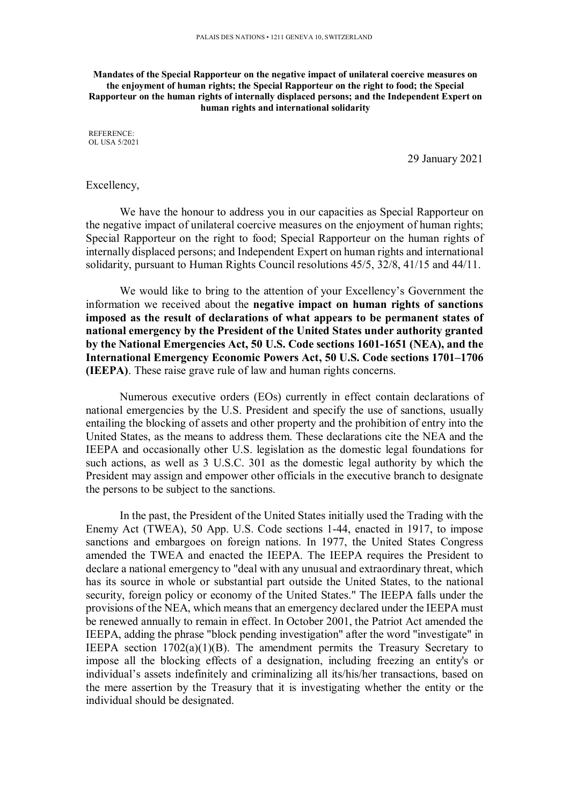**Mandates of the Special Rapporteur on the negative impact of unilateral coercive measures on the enjoyment of human rights; the Special Rapporteur on the right to food; the Special Rapporteur on the human rights of internally displaced persons; and the Independent Expert on human rights and international solidarity** 

REFERENCE: OL USA 5/2021

29 January 2021

## Excellency,

We have the honour to address you in our capacities as Special Rapporteur on the negative impact of unilateral coercive measures on the enjoyment of human rights; Special Rapporteur on the right to food; Special Rapporteur on the human rights of internally displaced persons; and Independent Expert on human rights and international solidarity, pursuant to Human Rights Council resolutions 45/5, 32/8, 41/15 and 44/11.

We would like to bring to the attention of your Excellency's Government the information we received about the **negative impact on human rights of sanctions imposed as the result of declarations of what appears to be permanent states of national emergency by the President of the United States under authority granted by the National Emergencies Act, 50 U.S. Code sections 1601-1651 (NEA), and the International Emergency Economic Powers Act, 50 U.S. Code sections 1701–1706 (IEEPA)**. These raise grave rule of law and human rights concerns.

Numerous executive orders (EOs) currently in effect contain declarations of national emergencies by the U.S. President and specify the use of sanctions, usually entailing the blocking of assets and other property and the prohibition of entry into the United States, as the means to address them. These declarations cite the NEA and the IEEPA and occasionally other U.S. legislation as the domestic legal foundations for such actions, as well as 3 U.S.C. 301 as the domestic legal authority by which the President may assign and empower other officials in the executive branch to designate the persons to be subject to the sanctions.

In the past, the President of the United States initially used the Trading with the Enemy Act (TWEA), 50 App. U.S. Code sections 1-44, enacted in 1917, to impose sanctions and embargoes on foreign nations. In 1977, the United States Congress amended the TWEA and enacted the IEEPA. The IEEPA requires the President to declare a national emergency to "deal with any unusual and extraordinary threat, which has its source in whole or substantial part outside the United States, to the national security, foreign policy or economy of the United States." The IEEPA falls under the provisions of the NEA, which means that an emergency declared under the IEEPA must be renewed annually to remain in effect. In October 2001, the Patriot Act amended the IEEPA, adding the phrase "block pending investigation" after the word "investigate" in IEEPA section 1702(a)(1)(B). The amendment permits the Treasury Secretary to impose all the blocking effects of a designation, including freezing an entity's or individual's assets indefinitely and criminalizing all its/his/her transactions, based on the mere assertion by the Treasury that it is investigating whether the entity or the individual should be designated.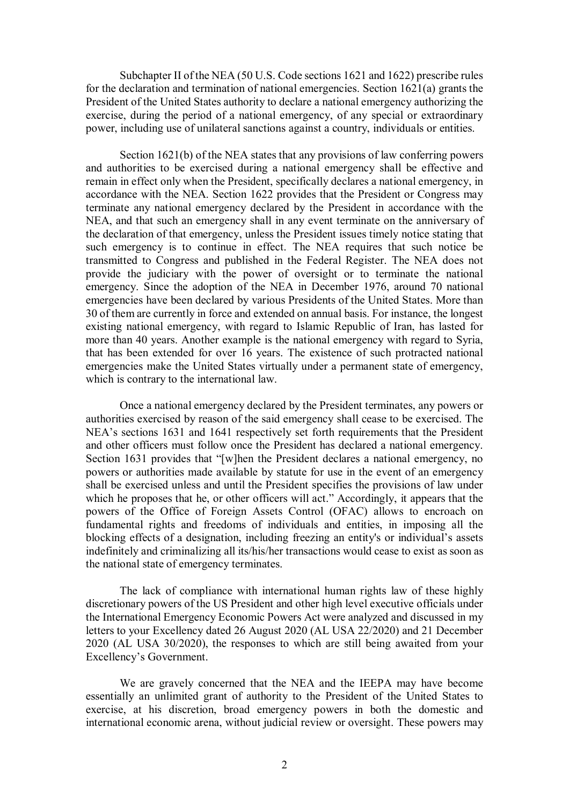Subchapter II of the NEA (50 U.S. Code sections 1621 and 1622) prescribe rules for the declaration and termination of national emergencies. Section 1621(a) grants the President of the United States authority to declare a national emergency authorizing the exercise, during the period of a national emergency, of any special or extraordinary power, including use of unilateral sanctions against a country, individuals or entities.

Section 1621(b) of the NEA states that any provisions of law conferring powers and authorities to be exercised during a national emergency shall be effective and remain in effect only when the President, specifically declares a national emergency, in accordance with the NEA. Section 1622 provides that the President or Congress may terminate any national emergency declared by the President in accordance with the NEA, and that such an emergency shall in any event terminate on the anniversary of the declaration of that emergency, unless the President issues timely notice stating that such emergency is to continue in effect. The NEA requires that such notice be transmitted to Congress and published in the Federal Register. The NEA does not provide the judiciary with the power of oversight or to terminate the national emergency. Since the adoption of the NEA in December 1976, around 70 national emergencies have been declared by various Presidents of the United States. More than 30 of them are currently in force and extended on annual basis. For instance, the longest existing national emergency, with regard to Islamic Republic of Iran, has lasted for more than 40 years. Another example is the national emergency with regard to Syria, that has been extended for over 16 years. The existence of such protracted national emergencies make the United States virtually under a permanent state of emergency, which is contrary to the international law.

Once a national emergency declared by the President terminates, any powers or authorities exercised by reason of the said emergency shall cease to be exercised. The NEA's sections 1631 and 1641 respectively set forth requirements that the President and other officers must follow once the President has declared a national emergency. Section 1631 provides that "[w]hen the President declares a national emergency, no powers or authorities made available by statute for use in the event of an emergency shall be exercised unless and until the President specifies the provisions of law under which he proposes that he, or other officers will act." Accordingly, it appears that the powers of the Office of Foreign Assets Control (OFAC) allows to encroach on fundamental rights and freedoms of individuals and entities, in imposing all the blocking effects of a designation, including freezing an entity's or individual's assets indefinitely and criminalizing all its/his/her transactions would cease to exist as soon as the national state of emergency terminates.

The lack of compliance with international human rights law of these highly discretionary powers of the US President and other high level executive officials under the International Emergency Economic Powers Act were analyzed and discussed in my letters to your Excellency dated 26 August 2020 (AL USA 22/2020) and 21 December 2020 (AL USA 30/2020), the responses to which are still being awaited from your Excellency's Government.

We are gravely concerned that the NEA and the IEEPA may have become essentially an unlimited grant of authority to the President of the United States to exercise, at his discretion, broad emergency powers in both the domestic and international economic arena, without judicial review or oversight. These powers may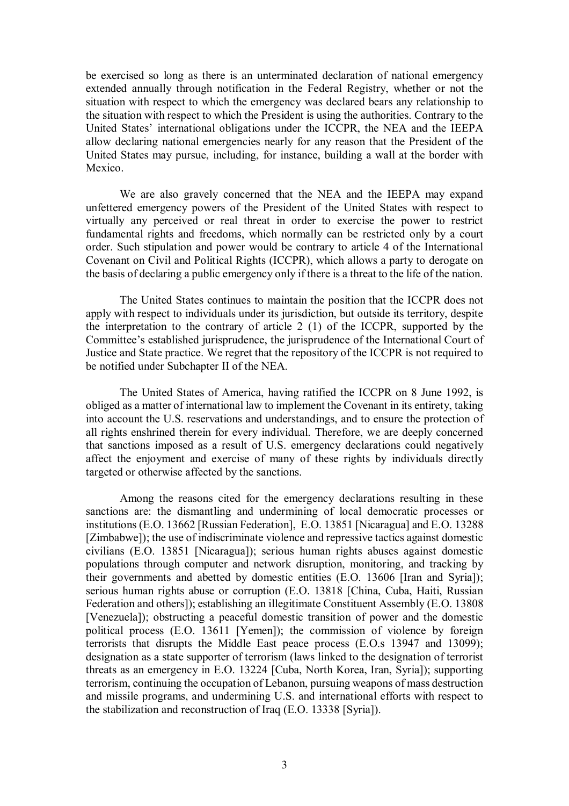be exercised so long as there is an unterminated declaration of national emergency extended annually through notification in the Federal Registry, whether or not the situation with respect to which the emergency was declared bears any relationship to the situation with respect to which the President is using the authorities. Contrary to the United States' international obligations under the ICCPR, the NEA and the IEEPA allow declaring national emergencies nearly for any reason that the President of the United States may pursue, including, for instance, building a wall at the border with Mexico.

We are also gravely concerned that the NEA and the IEEPA may expand unfettered emergency powers of the President of the United States with respect to virtually any perceived or real threat in order to exercise the power to restrict fundamental rights and freedoms, which normally can be restricted only by a court order. Such stipulation and power would be contrary to article 4 of the International Covenant on Civil and Political Rights (ICCPR), which allows a party to derogate on the basis of declaring a public emergency only if there is a threat to the life of the nation.

The United States continues to maintain the position that the ICCPR does not apply with respect to individuals under its jurisdiction, but outside its territory, despite the interpretation to the contrary of article 2 (1) of the ICCPR, supported by the Committee's established jurisprudence, the jurisprudence of the International Court of Justice and State practice. We regret that the repository of the ICCPR is not required to be notified under Subchapter II of the NEA.

The United States of America, having ratified the ICCPR on 8 June 1992, is obliged as a matter of international law to implement the Covenant in its entirety, taking into account the U.S. reservations and understandings, and to ensure the protection of all rights enshrined therein for every individual. Therefore, we are deeply concerned that sanctions imposed as a result of U.S. emergency declarations could negatively affect the enjoyment and exercise of many of these rights by individuals directly targeted or otherwise affected by the sanctions.

Among the reasons cited for the emergency declarations resulting in these sanctions are: the dismantling and undermining of local democratic processes or institutions (E.O. 13662 [Russian Federation], E.O. 13851 [Nicaragua] and E.O. 13288 [Zimbabwe]); the use of indiscriminate violence and repressive tactics against domestic civilians (E.O. 13851 [Nicaragua]); serious human rights abuses against domestic populations through computer and network disruption, monitoring, and tracking by their governments and abetted by domestic entities (E.O. 13606 [Iran and Syria]); serious human rights abuse or corruption (E.O. 13818 [China, Cuba, Haiti, Russian Federation and others]); establishing an illegitimate Constituent Assembly (E.O. 13808 [Venezuela]); obstructing a peaceful domestic transition of power and the domestic political process (E.O. 13611 [Yemen]); the commission of violence by foreign terrorists that disrupts the Middle East peace process (E.O.s 13947 and 13099); designation as a state supporter of terrorism (laws linked to the designation of terrorist threats as an emergency in E.O. 13224 [Cuba, North Korea, Iran, Syria]); supporting terrorism, continuing the occupation of Lebanon, pursuing weapons of mass destruction and missile programs, and undermining U.S. and international efforts with respect to the stabilization and reconstruction of Iraq (E.O. 13338 [Syria]).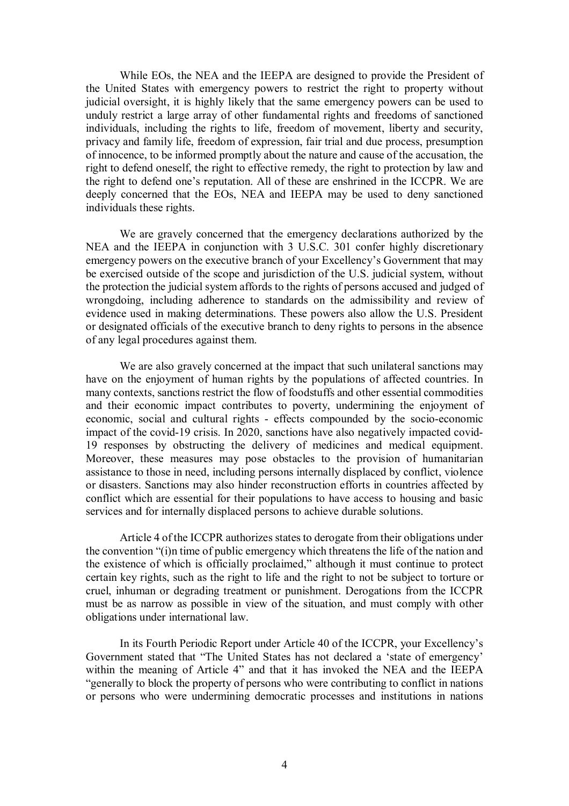While EOs, the NEA and the IEEPA are designed to provide the President of the United States with emergency powers to restrict the right to property without judicial oversight, it is highly likely that the same emergency powers can be used to unduly restrict a large array of other fundamental rights and freedoms of sanctioned individuals, including the rights to life, freedom of movement, liberty and security, privacy and family life, freedom of expression, fair trial and due process, presumption of innocence, to be informed promptly about the nature and cause of the accusation, the right to defend oneself, the right to effective remedy, the right to protection by law and the right to defend one's reputation. All of these are enshrined in the ICCPR. We are deeply concerned that the EOs, NEA and IEEPA may be used to deny sanctioned individuals these rights.

We are gravely concerned that the emergency declarations authorized by the NEA and the IEEPA in conjunction with 3 U.S.C. 301 confer highly discretionary emergency powers on the executive branch of your Excellency's Government that may be exercised outside of the scope and jurisdiction of the U.S. judicial system, without the protection the judicial system affords to the rights of persons accused and judged of wrongdoing, including adherence to standards on the admissibility and review of evidence used in making determinations. These powers also allow the U.S. President or designated officials of the executive branch to deny rights to persons in the absence of any legal procedures against them.

We are also gravely concerned at the impact that such unilateral sanctions may have on the enjoyment of human rights by the populations of affected countries. In many contexts, sanctions restrict the flow of foodstuffs and other essential commodities and their economic impact contributes to poverty, undermining the enjoyment of economic, social and cultural rights - effects compounded by the socio-economic impact of the covid-19 crisis. In 2020, sanctions have also negatively impacted covid-19 responses by obstructing the delivery of medicines and medical equipment. Moreover, these measures may pose obstacles to the provision of humanitarian assistance to those in need, including persons internally displaced by conflict, violence or disasters. Sanctions may also hinder reconstruction efforts in countries affected by conflict which are essential for their populations to have access to housing and basic services and for internally displaced persons to achieve durable solutions.

Article 4 of the ICCPR authorizes states to derogate from their obligations under the convention "(i)n time of public emergency which threatens the life of the nation and the existence of which is officially proclaimed," although it must continue to protect certain key rights, such as the right to life and the right to not be subject to torture or cruel, inhuman or degrading treatment or punishment. Derogations from the ICCPR must be as narrow as possible in view of the situation, and must comply with other obligations under international law.

In its Fourth Periodic Report under Article 40 of the ICCPR, your Excellency's Government stated that "The United States has not declared a 'state of emergency' within the meaning of Article 4" and that it has invoked the NEA and the IEEPA "generally to block the property of persons who were contributing to conflict in nations or persons who were undermining democratic processes and institutions in nations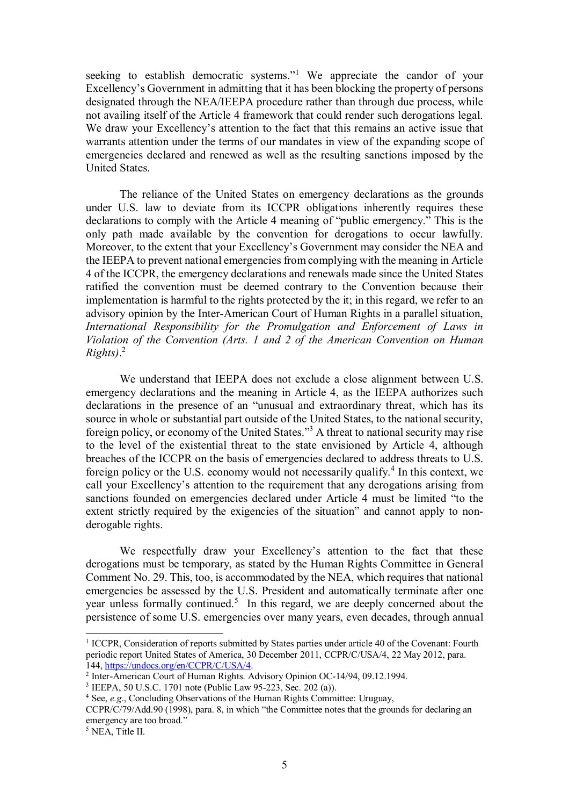seeking to establish democratic systems."<sup>1</sup> We appreciate the candor of your Excellency's Government in admitting that it has been blocking the property of persons designated through the NEA/IEEPA procedure rather than through due process, while not availing itself of the Article 4 framework that could render such derogations legal. We draw your Excellency's attention to the fact that this remains an active issue that warrants attention under the terms of our mandates in view of the expanding scope of emergencies declared and renewed as well as the resulting sanctions imposed by the United States.

The reliance of the United States on emergency declarations as the grounds under U.S. law to deviate from its ICCPR obligations inherently requires these declarations to comply with the Article 4 meaning of "public emergency." This is the only path made available by the convention for derogations to occur lawfully. Moreover, to the extent that your Excellency's Government may consider the NEA and the IEEPA to prevent national emergencies from complying with the meaning in Article 4 of the ICCPR, the emergency declarations and renewals made since the United States ratified the convention must be deemed contrary to the Convention because their implementation is harmful to the rights protected by the it; in this regard, we refer to an advisory opinion by the Inter-American Court of Human Rights in a parallel situation, *International Responsibility for the Promulgation and Enforcement of Laws in Violation of the Convention (Arts. 1 and 2 of the American Convention on Human Rights)*. 2

We understand that IEEPA does not exclude a close alignment between U.S. emergency declarations and the meaning in Article 4, as the IEEPA authorizes such declarations in the presence of an "unusual and extraordinary threat, which has its source in whole or substantial part outside of the United States, to the national security, foreign policy, or economy of the United States."<sup>3</sup> A threat to national security may rise to the level of the existential threat to the state envisioned by Article 4, although breaches of the ICCPR on the basis of emergencies declared to address threats to U.S. foreign policy or the U.S. economy would not necessarily qualify.<sup>4</sup> In this context, we call your Excellency's attention to the requirement that any derogations arising from sanctions founded on emergencies declared under Article 4 must be limited "to the extent strictly required by the exigencies of the situation" and cannot apply to nonderogable rights.

We respectfully draw your Excellency's attention to the fact that these derogations must be temporary, as stated by the Human Rights Committee in General Comment No. 29. This, too, is accommodated by the NEA, which requires that national emergencies be assessed by the U.S. President and automatically terminate after one year unless formally continued.<sup>5</sup> In this regard, we are deeply concerned about the persistence of some U.S. emergencies over many years, even decades, through annual

-

<sup>&</sup>lt;sup>1</sup> ICCPR, Consideration of reports submitted by States parties under article 40 of the Covenant: Fourth periodic report United States of America, 30 December 2011, CCPR/C/USA/4, 22 May 2012, para. 144, https://undocs.org/en/CCPR/C/USA/4.

<sup>&</sup>lt;sup>2</sup> Inter-American Court of Human Rights. Advisory Opinion OC-14/94, 09.12.1994.

<sup>3</sup> IEEPA, 50 U.S.C. 1701 note (Public Law 95-223, Sec. 202 (a)).

<sup>4</sup> See, *e.g*., Concluding Observations of the Human Rights Committee: Uruguay,

CCPR/C/79/Add.90 (1998), para. 8, in which "the Committee notes that the grounds for declaring an emergency are too broad."

<sup>5</sup> NEA, Title II.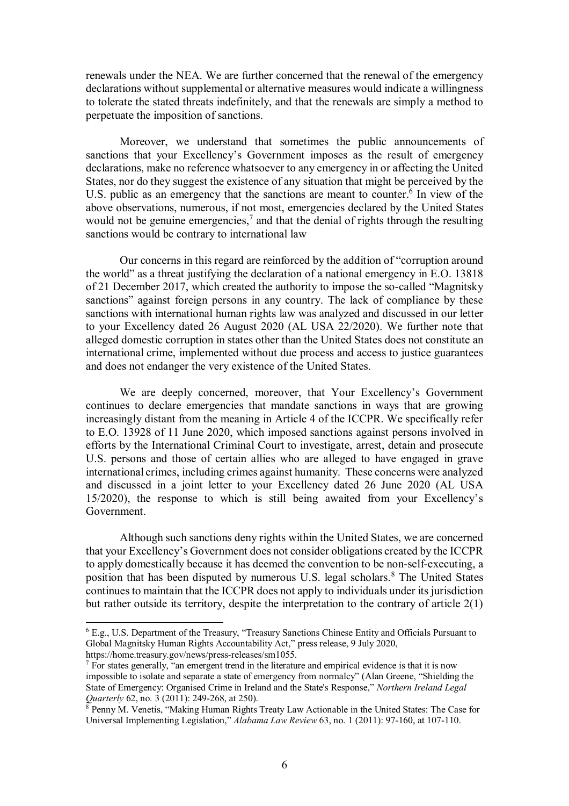renewals under the NEA. We are further concerned that the renewal of the emergency declarations without supplemental or alternative measures would indicate a willingness to tolerate the stated threats indefinitely, and that the renewals are simply a method to perpetuate the imposition of sanctions.

Moreover, we understand that sometimes the public announcements of sanctions that your Excellency's Government imposes as the result of emergency declarations, make no reference whatsoever to any emergency in or affecting the United States, nor do they suggest the existence of any situation that might be perceived by the U.S. public as an emergency that the sanctions are meant to counter.<sup>6</sup> In view of the above observations, numerous, if not most, emergencies declared by the United States would not be genuine emergencies,<sup>7</sup> and that the denial of rights through the resulting sanctions would be contrary to international law

Our concerns in this regard are reinforced by the addition of "corruption around the world" as a threat justifying the declaration of a national emergency in E.O. 13818 of 21 December 2017, which created the authority to impose the so-called "Magnitsky sanctions" against foreign persons in any country. The lack of compliance by these sanctions with international human rights law was analyzed and discussed in our letter to your Excellency dated 26 August 2020 (AL USA 22/2020). We further note that alleged domestic corruption in states other than the United States does not constitute an international crime, implemented without due process and access to justice guarantees and does not endanger the very existence of the United States.

We are deeply concerned, moreover, that Your Excellency's Government continues to declare emergencies that mandate sanctions in ways that are growing increasingly distant from the meaning in Article 4 of the ICCPR. We specifically refer to E.O. 13928 of 11 June 2020, which imposed sanctions against persons involved in efforts by the International Criminal Court to investigate, arrest, detain and prosecute U.S. persons and those of certain allies who are alleged to have engaged in grave international crimes, including crimes against humanity. These concerns were analyzed and discussed in a joint letter to your Excellency dated 26 June 2020 (AL USA 15/2020), the response to which is still being awaited from your Excellency's Government.

Although such sanctions deny rights within the United States, we are concerned that your Excellency's Government does not consider obligations created by the ICCPR to apply domestically because it has deemed the convention to be non-self-executing, a position that has been disputed by numerous U.S. legal scholars.<sup>8</sup> The United States continues to maintain that the ICCPR does not apply to individuals under its jurisdiction but rather outside its territory, despite the interpretation to the contrary of article 2(1)

-

<sup>6</sup> E.g., U.S. Department of the Treasury, "Treasury Sanctions Chinese Entity and Officials Pursuant to Global Magnitsky Human Rights Accountability Act," press release, 9 July 2020, https://home.treasury.gov/news/press-releases/sm1055.

 $<sup>7</sup>$  For states generally, "an emergent trend in the literature and empirical evidence is that it is now</sup> impossible to isolate and separate a state of emergency from normalcy" (Alan Greene, "Shielding the State of Emergency: Organised Crime in Ireland and the State's Response," *Northern Ireland Legal* 

*Quarterly* 62, no. 3 (2011): 249-268, at 250). 8 Penny M. Venetis, "Making Human Rights Treaty Law Actionable in the United States: The Case for Universal Implementing Legislation," *Alabama Law Review* 63, no. 1 (2011): 97-160, at 107-110.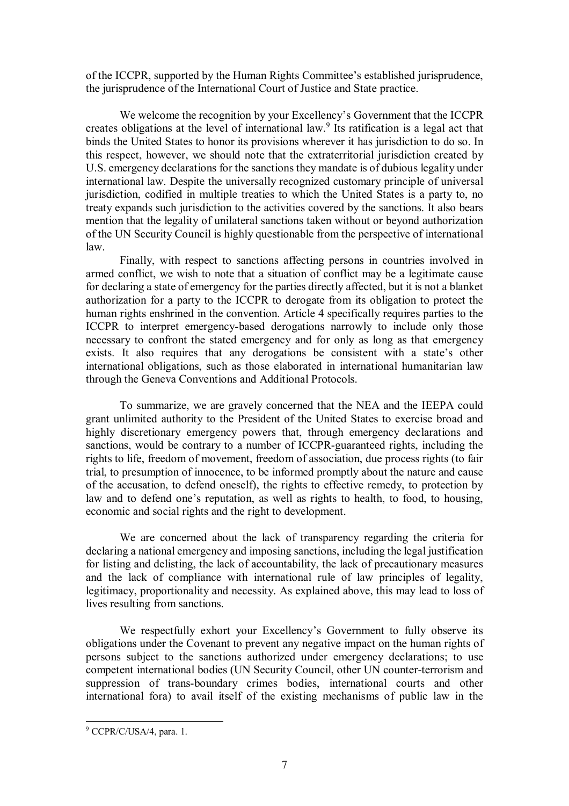of the ICCPR, supported by the Human Rights Committee's established jurisprudence, the jurisprudence of the International Court of Justice and State practice.

We welcome the recognition by your Excellency's Government that the ICCPR creates obligations at the level of international law.<sup>9</sup> Its ratification is a legal act that binds the United States to honor its provisions wherever it has jurisdiction to do so. In this respect, however, we should note that the extraterritorial jurisdiction created by U.S. emergency declarations for the sanctions they mandate is of dubious legality under international law. Despite the universally recognized customary principle of universal jurisdiction, codified in multiple treaties to which the United States is a party to, no treaty expands such jurisdiction to the activities covered by the sanctions. It also bears mention that the legality of unilateral sanctions taken without or beyond authorization of the UN Security Council is highly questionable from the perspective of international law.

Finally, with respect to sanctions affecting persons in countries involved in armed conflict, we wish to note that a situation of conflict may be a legitimate cause for declaring a state of emergency for the parties directly affected, but it is not a blanket authorization for a party to the ICCPR to derogate from its obligation to protect the human rights enshrined in the convention. Article 4 specifically requires parties to the ICCPR to interpret emergency-based derogations narrowly to include only those necessary to confront the stated emergency and for only as long as that emergency exists. It also requires that any derogations be consistent with a state's other international obligations, such as those elaborated in international humanitarian law through the Geneva Conventions and Additional Protocols.

To summarize, we are gravely concerned that the NEA and the IEEPA could grant unlimited authority to the President of the United States to exercise broad and highly discretionary emergency powers that, through emergency declarations and sanctions, would be contrary to a number of ICCPR-guaranteed rights, including the rights to life, freedom of movement, freedom of association, due process rights (to fair trial, to presumption of innocence, to be informed promptly about the nature and cause of the accusation, to defend oneself), the rights to effective remedy, to protection by law and to defend one's reputation, as well as rights to health, to food, to housing, economic and social rights and the right to development.

We are concerned about the lack of transparency regarding the criteria for declaring a national emergency and imposing sanctions, including the legal justification for listing and delisting, the lack of accountability, the lack of precautionary measures and the lack of compliance with international rule of law principles of legality, legitimacy, proportionality and necessity. As explained above, this may lead to loss of lives resulting from sanctions.

We respectfully exhort your Excellency's Government to fully observe its obligations under the Covenant to prevent any negative impact on the human rights of persons subject to the sanctions authorized under emergency declarations; to use competent international bodies (UN Security Council, other UN counter-terrorism and suppression of trans-boundary crimes bodies, international courts and other international fora) to avail itself of the existing mechanisms of public law in the

j

<sup>&</sup>lt;sup>9</sup> CCPR/C/USA/4, para. 1.